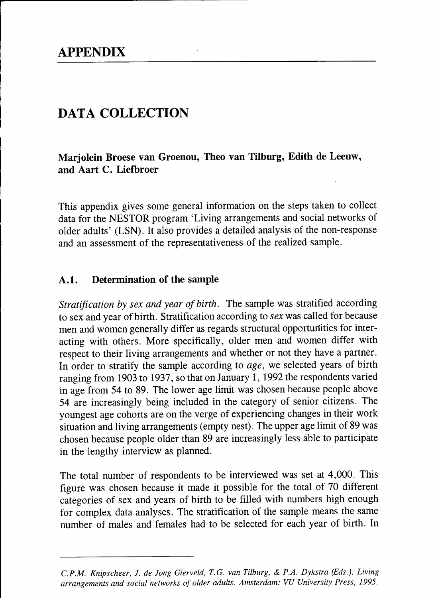# DATA COLLECTION

Marjolein Broese van Groenou, Theo van Tilburg, Edith de Leeuw, and Aart C. Liefbroer

This appendix gives some general information on the steps taken to collect data for the NESTOR program 'Living arrangements and social networks of older adults' (LSN). It also provides a detailed analysis of the non-response and an assessment of the representativeness of the realized sample.

### A.1. Determination of the sample

Stratification by sex and year of birth. The sample was stratified according to sex and year of birth. Stratification according to ser was called for because men and women generally differ as regards structural opportunities for interacting with others. More specifically, older men and women differ with respect to their living arrangements and whether or not they have a partner. In order to stratify the sample according to age, we selected years of birth ranging from 1903 to 1937, so that on January 1, 1992 the respondents varied in age from 54 to 89. The lower age limit was chosen because people above 54 arc increasingly being included in the category of senior citizens. The youngest age cohorts are on the verge of experiencing changes in their work situation and living arrangements (empty nest). The upper age limit of 89 was chosen because people older than 89 are increasingly less áble to participate in the lengthy interview as planned.

The total number of respondents to be interviewed was set at 4,000. This figure was chosen because it made it possible for the total of 70 different categories of sex and years of birth to be filled with numbers high enough for complex data analyses. The stratification of the sample means the same number of males and females had to be selected for each year of birth. In

C.P.M. Knipscheer, J. de Jong Gierveld, T.G. van Tilburg, & P.A. Dykstra (Eds.), I'iving arrangements and social networks of older adults. Amsterdam: VU University Press, 1995.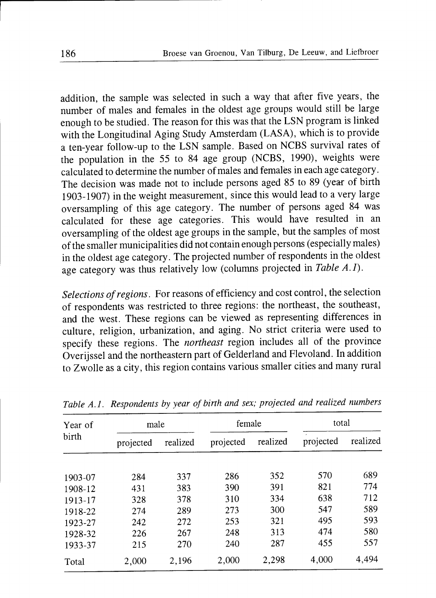addition, the sample was selected in such a way that after five years, the number of males and females in the oldest age groups would still be large enough to be studied. The reason for this was that the LSN program is linked with the Longitudinal Aging Study Amsterdam (LASA), which is to provide a ten-year follow-up to the LSN sample. Based on NCBS survival rates of the population in the 55 to 84 age group (NCBS, 1990), weights were calculated to determine the number of males and females in each age category. The decision was made not to include persons aged 85 to 89 (year of birth 1903- 1907) in the weight measurement, since this would lead to a very large oversampling of this age category. The number of persons aged 84 was calculated for these age categories. This would have resulted in an oversampling of the oldest age groups in the sample, but the samples of most of the smaller municipalities did not contain enough persons (especially males) in the oldest age category. The projected number of respondents in the oldest age category was thus relatively low (columns projected in Table  $A.I$ ).

Selections of regions. For reasons of efficiency and cost control, the selection of respondents was restricted to three regions: the northeast, the southeast, and the west. These regions can be viewed as representing differences in culture, religion, urbanization, and aging. No strict criteria were used to specify these regions. The *northeast* region includes all of the province Overijssel and the northeastern part of Gelderland and Flevoland. In addition to Zwolle as a city, this region contains various smaller cities and many rural

| Year of<br>birth | male      |          | female     |          | total     |          |
|------------------|-----------|----------|------------|----------|-----------|----------|
|                  | projected | realized | projected  | realized | projected | realized |
|                  |           |          |            | 352      | 570       | 689      |
| 1903-07          | 284       | 337      | 286<br>390 | 391      | 821       | 774      |
| 1908-12          | 431       | 383      |            |          |           |          |
| 1913-17          | 328       | 378      | 310        | 334      | 638       | 712      |
| 1918-22          | 274       | 289      | 273        | 300      | 547       | 589      |
| 1923-27          | 242       | 272      | 253        | 321      | 495       | 593      |
| 1928-32          | 226       | 267      | 248        | 313      | 474       | 580      |
| 1933-37          | 215       | 270      | 240        | 287      | 455       | 557      |
| Total            | 2.000     | 2,196    | 2.000      | 2,298    | 4,000     | 4,494    |

Table A.1. Respondents by year of birth and sex; projected and realized numbers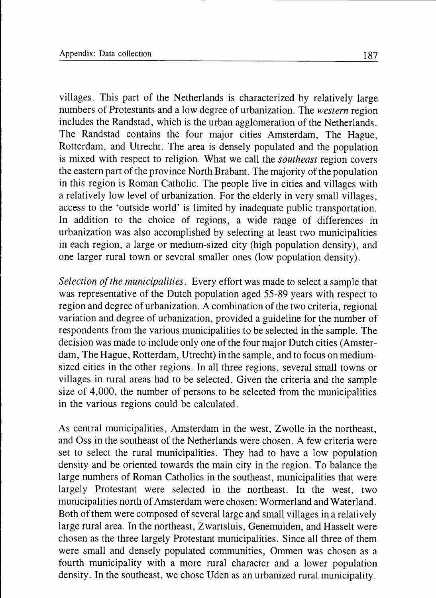villages. This part of the Netherlands is characterized by relatively large numbers of Protestants and a low degree of urbanization. The western region includes the Randstad, which is the urban agglomeration of the Netherlands. The Randstad contains the four major cities Amsterdam, The Hague, Rotterdam, and Utrecht. The area is densely populated and the population is mixed with respect to religion. What we call the *southeast* region covers the eastern part of the province North Brabant. The majority of the population in this region is Roman Catholic. The people live in cities and villages with a relatively low level of urbanization. For the elderly in very small villages, access to the 'outside world' is limited by inadequate public transportation. In addition to the choice of regions, a wide range of differences in urbanization was also accomplished by selecting at least two municipalities in each region, a large or medium-sized city (high population density), and one larger rural town or several smaller ones (low population density).

Selection of the municipalities. Every effort was made to select a sample that was representative of the Dutch population aged 55-89 years with respect to region and degree of urbanization. A combination of the two criteria, regional variation and degree of urbanization, provided a guideline for the number of respondents from the various municipalities to be selected in the sample. The decision was made to include only one of the four major Dutch cities (Amsterdam, The Hague, Rotterdam, Utrecht) in the sample, and to focus on mediumsized cities in the other regions. In all three regions, several small towns or villages in rural areas had to be selected. Given the criteria and the sample size of 4,000, the number of persons to be selected from the municipalities in the various regions could be calculated.

As central municipalities, Amsterdam in the west, Zwolle in the northeast, and Oss in the southeast of the Netherlands were chosen. A few criteria were set to select the rural municipalities. They had to have a low population density and be oriented towards the main city in the region. To balance the large numbers of Roman Catholics in the southeast, municipalities that were largely Protestant were selected in the northeast. In the west, two municipalities north of Amsterdam were chosen: Wormerland and Waterland. Both of them were composed of several large and small villages in a relatively large rural area. In the northeast, Zwartsluis, Genemuiden, and Hasselt were chosen as the three largely Protestant municipalities. Since all three of them were small and densely populated communities, Ommen was chosen as a fourth municipality with a more rural character and a lower population density. In the southeast, we chose Uden as an urbanized rural municipality.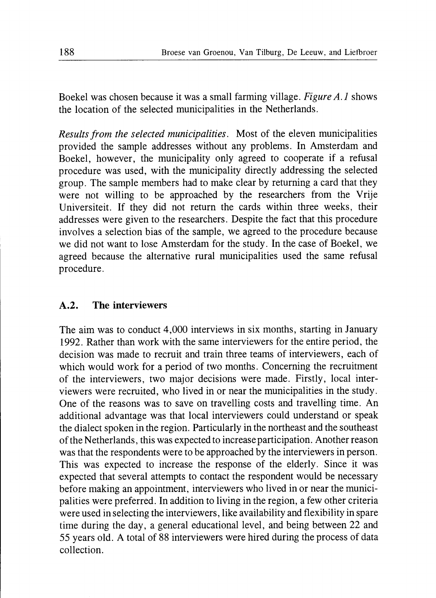Boekel was chosen because it was a small farming village. Figure A.1 shows the location of the selected municipalities in the Netherlands.

Results from the selected municipalities. Most of the eleven municipalities provided the sample addresses without any problems. In Amsterdam and Boekel, however, the municipality only agreed to cooperate if a refusal procedure was used, with the municipality directly addressing the selected group. The sample members had to make clear by returning a card that they were not willing to be approached by the researchers from the Vrije Universiteit. If they did not return the cards within three weeks, their addresses were given to the researchers. Despite the fact that this procedure involves a selection bias of the sample, we agreed to the procedure because we did not want to lose Amsterdam for the study. In the case of Boekel, we agreed because the alternative rural municipalities used the same refusal procedure.

## A.2. The interviewers

The aim was to conduct 4,000 interviews in six months, starting in January 1992. Rather than work with the same interviewers for the entire period, the decision was made to recruit and train three teams of interviewers, each of which would work for a period of two months. Concerning the recruitment of the interviewers, two major decisions were made. Firstly, local interviewers were recruited, who lived in or near the municipalities in the study. One of the reasons was to save on travelling costs and travelling time. An additional advantage was that local interviewers could understand or speak the dialect spoken in the region. Particularly in the northeast and the southeast of the Netherlands, this was expected to increase participation. Another reason was that the respondents were to be approached by the interviewers in person. This was expected to increase the response of the elderly. Since it was expected that several attempts to contact the respondent would be necessary before making an appointment, interviewers who lived in or near the municipalities were preferred. In addition to living in the region, a few other criteria were used in selecting the interviewers, like availability and flexibility in spare time during the day, a general educational level, and being between 22 and 55 years old. A total of 88 interviewers were hired during the process of data collection.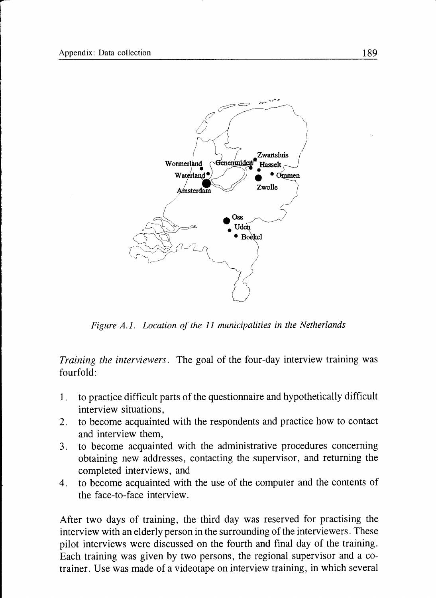

Figure A.l. Location of the 11 municipalities in the Netherlands

Training the interviewers. The goal of the four-day interview training was fourfold:

- 1. to practice difficult parts of the questionnaire and hypothetically difficult interview situations,
- 2. to become acquainted with the respondents and practice how to contact and interview them,
- 3. to become acquainted with the administrative procedures concerning obtaining new addresses, contacting the supervisor, and returning the completed interviews, and
- 4. to become acquainted with the use of the computer and the contents of the face-to-face interview.

After two days of training, the third day was reserved for practising the interview with an elderly person in the surrounding of the interviewers. These pilot interviews were discussed on the fourth and final day of the training. Each training was given by two persons, the regional supervisor and a cotrainer. Use was made of a videotape on interview training, in which several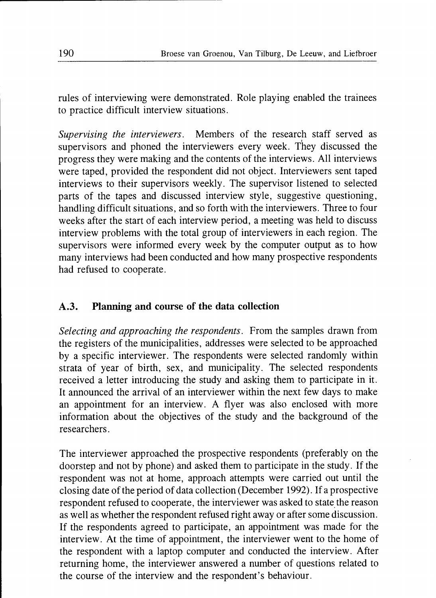rules of interviewing were demonstrated. Role playing enabled the trainees to practice difficult interview situations.

Supervising the interviewers. Members of the research staff served as supervisors and phoned the interviewers every week. They discussed the progress they were making and the contents of the interviews. All interviews were taped, provided the respondent did not object. Interviewers sent taped interviews to their supervisors weekly. The supervisor listened to selected parts of the tapes and discussed interview style, suggestive questioning, handling difficult situations, and so forth with the interviewers. Three to four weeks after the start of each interview period, a meeting was held to discuss interview problems with the total group of interviewers in each region. The supervisors were informed every week by the computer output as to how many interviews had been conducted and how many prospective respondents had refused to cooperate.

# A.3. Planning and course of the data collection

Selecting and approaching the respondents. From the samples drawn from the registers of the municipalities, addresses were selected to be approached by a specific interviewer. The respondents were selected randomly within strata of year of birth, sex, and municipality. The selected respondents received a letter introducing the study and asking them to participate in it. It announced the arrival of an interviewer within the next few days to make an appointment for an interview. A flyer was also enclosed with more information about the objectives of the study and the background of the researchers.

The interviewer approached the prospective respondents (preferably on the doorstep and not by phone) and asked them to participate in the study. If the respondent was not at home, approach attempts were carried out until the closing date of the period of data collection (December 1992). If a prospective respondent refused to cooperate, the interviewer was asked to state the reason as well as whether the respondent refused right away or after some discussion. If the respondents agreed to participate, an appointment was made for the interview. At the time of appointment, the interviewer went to the home of the respondent with a laptop computer and conducted the interview. After returning home, the interviewer answered a number of questions related to the course of the interview and the respondent's behaviour.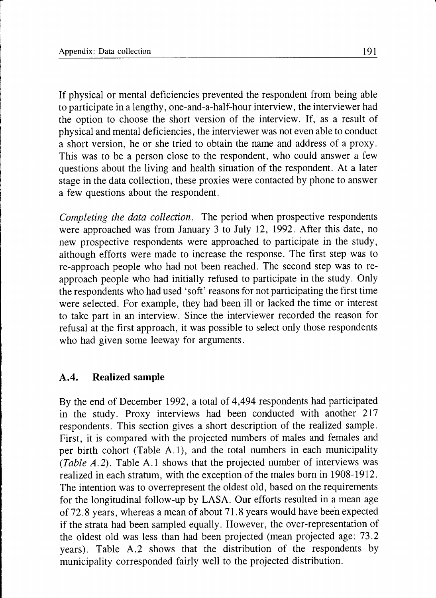If physical or mental deficiencies prevented the respondent from being able to participate in a lengthy, one-and-a-half-hour interview, the interviewer had the option to choose the short version of the interview. If, as a result of physical and mental deficiencies, the interviewer was not even able to conduct a short version, he or she tried to obtain the name and address of a proxy. This was to be a person close to the respondent, who could answer a few questions about the living and health situation of the respondent. At a later stage in the data collection, these proxies were contacted by phone to answer a few questions about the respondent.

Completing the data collection. The period when prospective respondents were approached was from January 3 to July 12, 1992. After this date, no new prospective respondents were approached to participate in the study, although efforts were made to increase the response. The first step was to re-approach people who had not been reached. The second step was to reapproach people who had initially refused to participate in the study. Only the respondents who had used 'soft' reasons for not participating the first time were selected. For example, they had been ill or lacked the time or interest to take part in an interview. Since the interviewer recorded the reason for refusal at the first approach, it was possible to select only those respondents who had given some leeway for arguments.

#### A.4. Realized sample

By the end of December 1992, a total of 4,494 respondents had participated in the study. Proxy interviews had been conducted with another 2I7 respondents. This section gives a short description of the realized sample. First, it is compared with the projected numbers of males and females and per birth cohort (Table A.1), and the total numbers in each municipality (Table A.2). Table A.I shows that the projected number of interviews was realized in each stratum, with the exception of the males born in 1908-1912. The intention was to overrepresent the oldest old, based on the requirements for the longitudinal follow-up by LASA. Our efforts resulted in a mean age of 72.8 years, whereas a mean of about 71.8 years would have been expected if the strata had been sampled equally. However, the over-representation of the oldest old was less than had been projected (mean projected age: 73.2 years). Table A.2 shows that the distribution of the respondents by municipality corresponded fairly well to the projected distribution.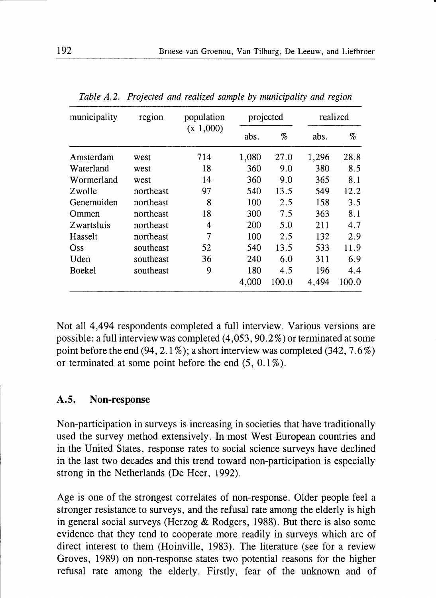| municipality  | region    | population<br>(x 1,000) | projected |       | realized |       |
|---------------|-----------|-------------------------|-----------|-------|----------|-------|
|               |           |                         | abs.      | %     | abs.     | %     |
| Amsterdam     | west      | 714                     | 1,080     | 27.0  | 1,296    | 28.8  |
| Waterland     | west      | 18                      | 360       | 9.0   | 380      | 8.5   |
| Wormerland    | west      | 14                      | 360       | 9.0   | 365      | 8.1   |
| Zwolle        | northeast | 97                      | 540       | 13.5  | 549      | 12.2  |
| Genemuiden    | northeast | 8                       | 100       | 2.5   | 158      | 3.5   |
| Ommen         | northeast | 18                      | 300       | 7.5   | 363      | 8.1   |
| Zwartsluis    | northeast | 4                       | 200       | 5.0   | 211      | 4.7   |
| Hasselt       | northeast | 7                       | 100       | 2.5   | 132      | 2.9   |
| Oss           | southeast | 52                      | 540       | 13.5  | 533      | 11.9  |
| Uden          | southeast | 36                      | 240       | 6.0   | 311      | 6.9   |
| <b>Boekel</b> | southeast | 9                       | 180       | 4.5   | 196      | 4.4   |
|               |           |                         | 4,000     | 100.0 | 4,494    | 100.0 |

Table A.2. Projected and realized sample by municipality and region

Not all 4,494 respondents completed a full interview. Various versions are possible: a full interview was completed (4,053,90.2%) or terminated at some point before the end  $(94, 2.1\%)$ ; a short interview was completed  $(342, 7.6\%)$ or terminated at some point before the end  $(5, 0.1\%)$ .

#### 4.5. Non-response

Non-participation in surveys is increasing in societies that have traditionally used the survey method extensively. In most West European countries and in the United States, response rates to social science surveys have declined in the last two decades and this trend toward non-participation is especially strong in the Netherlands (De Heer, 1992).

Age is one of the strongest correlates of non-response. Older people feel a stronger resistance to surveys, and the refusal rate among the elderly is high in general social surveys (Herzog & Rodgers, 1988). But there is also some evidence that they tend to cooperate more readily in surveys which are of direct interest to them (Hoinville, 1983). The literature (see for a review Groves, 1989) on non-response states two potential reasons for the higher refusal rate among the elderly. Firstly, fear of the unknown and of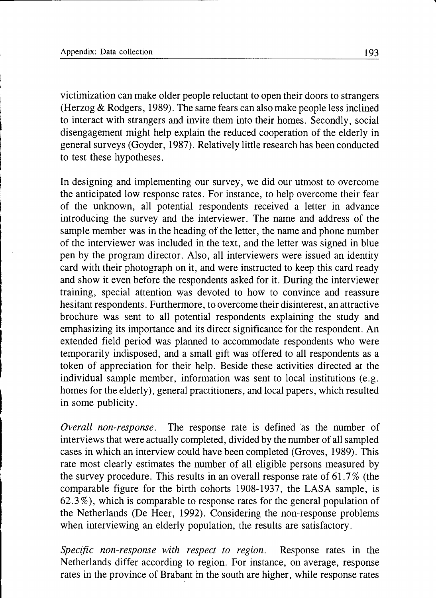victimization can make older people reluctant to open their doors to strangers (Herzog & Rodgers, 1989). The same fears can also make people less inclined to interact with strangers and invite them into their homes. Secondly, social disengagement might help explain the reduced cooperation of the elderly in general surveys (Goyder, 1987). Relatively little research has been conducted to test these hypotheses.

In designing and implementing our survey, we did our utmost to overcome the anticipated low response rates. For instance, to help overcome their fear of the unknown, all potential respondents received a letter in advance introducing the survey and the interviewer. The name and address of the sample member was in the heading of the letter, the name and phone number of the interviewer was included in the text, and the letter was signed in blue pen by the program director. Also, all interviewers were issued an identity card with their photograph on it, and were instructed to keep this card ready and show it even before the respondents asked for it. During the interviewer training, special attention was devoted to how to convince and reassure hesitant respondents. Furthermore, to overcome their disinterest, an attractive brochure was sent to all potential respondents explaining the study and emphasizing its importance and its direct significance for the respondent. An extended field period was planned to accommodate respondents who were temporarily indisposed, and a small gift was offered to all respondents as a token of appreciation for their help. Beside these activities directed at the individual sample member, information was sent to local institutions (e.g. homes for the elderly), general practitioners, and local papers, which resulted in some publicity.

Overall non-response. The response rate is defined 'as the number of interviews that were actually completed, divided by the number of all sampled cases in which an interview could have been completed (Groves, 1989). This rate most clearly estimates the number of all eligible persons measured by the survey procedure. This results in an overall response rate of 61.7 % (the comparable figure for the birth cohorts 1908-1937, the LASA sample, is 62.3%), which is comparable to response rates for the general population of the Netherlands (De Heer, 1992). Considering the non-response problems when interviewing an elderly population, the results are satisfactory.

Specific non-response with respect to region. Response rates in the Netherlands differ according to region. For instance, on average, response rates in the province of Brabant in the south are higher, while response rates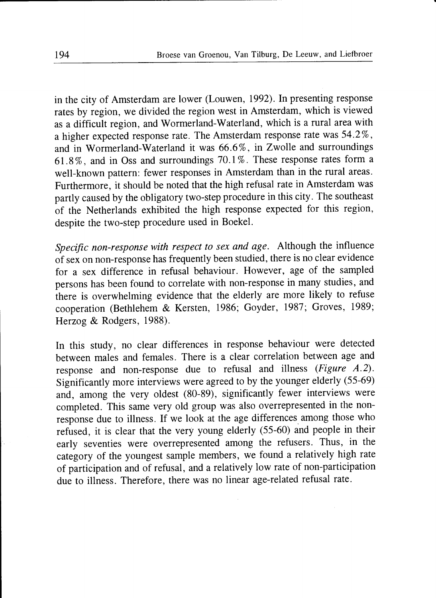in the city of Amsterdam are lower (Louwen, 1992). In presenting response rates by region, we divided the region west in Amsterdam, which is viewed as a difficult region, and Wormerland-Waterland, which is a rural area with a higher expected response rate. The Amsterdam response rate was 54.2%, and in Wormerland-Waterland it was 66.6% , in Zwolle and surroundings 61.8%, and in Oss and surroundings 70.I%. These response rates form a well-known pattern: fewer responses in Amsterdam than in the rural areas. Furthermore, it should be noted that the high refusal rate in Amsterdam was partly caused by the obligatory two-step procedure in this city. The southeast of the Netherlands exhibited the high response expected for this region, despite the two-step procedure used in Boekel.

Specific non-response with respect to sex and age. Although the influence of sex on non-response has frequently been studied, there is no clear evidence for a sex difference in refusal behaviour. However, age of the sampled persons has been found to correlate with non-response in many studies, and there is overwhelming evidence that the elderly are more likely to refuse cooperation (Bethlehem & Kersten, 1986; Goyder, 1987; Groves, 1989; Herzog & Rodgers, 1988).

In this study, no clear differences in response behaviour were detected between males and females. There is a clear correlation between age and response and non-response due to refusal and illness (Figure A.2). Significantly more interviews were agreed to by the younger elderly (55-69) and, among the very oldest (80-89), significantly fewer interviews were completed. This same very old group was also overrepresented in the nonresponse due to illness. If we look at the age differences among those who refused, it is clear that the very young elderly (55-60) and people in their early seventies were overrepresented among the refusers. Thus, in the category of the youngest sample members, we found a relatively high rate of participation and of refusal, and a relatively low rate of non-participation due to illness. Therefore, there was no linear age-related refusal rate.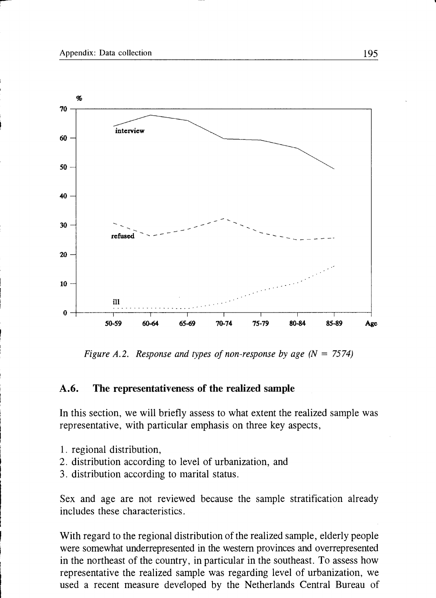

Figure A.2. Response and types of non-response by age  $(N = 7574)$ 

#### A.6. The representativeness of the realized sample

In this section, we will briefly assess to what extent the realized sample was representative, with particular emphasis on three key aspects,

- 1. regional distribution,
- 2. distribution according to level of urbanization, and
- 3. distribution according to marital status.

Sex and age are not reviewed because the sample stratification already includes these characteristics.

With regard to the regional distribution of the realized sample, elderly people were somewhat underrepresented in the western provinces and overrepresented in the northeast of the country, in particular in the southeast. To assess how representative the realized sample was regarding level of urbanization, we used a recent measure developed by the Netherlands Central Bureau of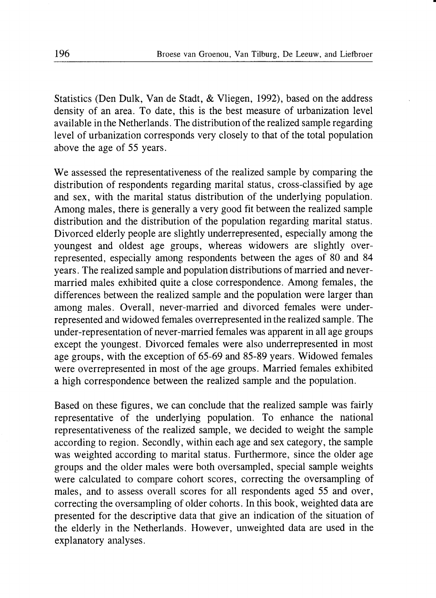Statistics (Den Dulk, Van de Stadt, & Vliegen, 1992), based on the address density of an area. To date, this is the best measure of urbanization level available in the Netherlands. The distribution of the realized sample regarding level of urbanization corresponds very closely to that of the total population above the age of 55 years.

We assessed the representativeness of the realized sample by comparing the distribution of respondents regarding marital status, cross-classified by age and sex, with the marital status distribution of the underlying population. Among males, there is generally a very good fit between the realized sample distribution and the distribution of the population regarding marital status. Divorced elderly people are slightly underrepresented, especially among the youngest and oldest age groups, whereas widowers are slightly overrepresented, especially among respondents between the ages of 80 and 84 years. The realized sample and population distributions of married and nevermarried males exhibited quite a close correspondence. Among females, the differences between the realized sample and the population were larger than among males. Overall, never-married and divorced females were underrepresented and widowed females overrepresented inthe realized sample. The under-representation of never-married females was apparent in all age groups except the youngest. Divorced females were also underrepresented in most age groups, with the exception of 65-69 and 85-89 years. Widowed females were overrepresented in most of the age groups. Married females exhibited a high correspondence between the realized sample and the population.

Based on these figures, we can conclude that the realized sample was fairly representative of the underlying population. To enhance the national representativeness of the realized sample, we decided to weight the sample according to region. Secondly, within each age and sex category, the sample was weighted according to marital status. Furthermore, since the older age groups and the older males were both oversampled, special sample weights were calculated to compare cohort scores, correcting the oversampling of males, and to assess overall scores for all respondents aged 55 and over, correcting the oversampling of older cohorts. In this book, weighted data are presented for the descriptive data that give an indication of the situation of the elderly in the Netherlands. However, unweighted data are used in the explanatory analyses.